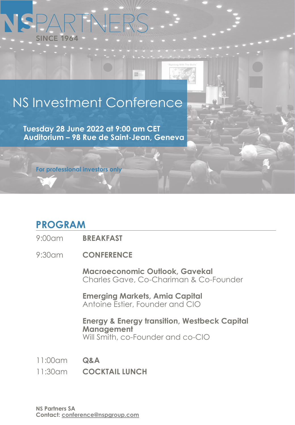## NSPA  $\frac{1}{\sqrt{2}}$ **SINCE 1964**

# NS Investment Conference

國

**Tuesday 28 June 2022 at 9:00 am CET Auditorium – 98 Rue de Saint-Jean, Geneva**

**For professional investors only**

## **PROGRAM**

- 9:00am **BREAKFAST**
- 9:30am **CONFERENCE**

**Macroeconomic Outlook, Gavekal** Charles Gave, Co-Chariman & Co-Founder

**Emerging Markets, Amia Capital** Antoine Estier, Founder and CIO

#### **Energy & Energy transition, Westbeck Capital Management** Will Smith, co-Founder and co-CIO

11:00am **Q&A**

11:30am **COCKTAIL LUNCH**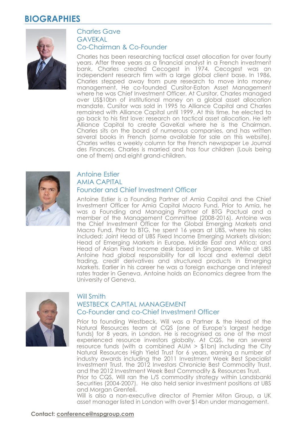## **BIOGRAPHIES**



#### Charles Gave **GAVFKAL** Co-Chairman & Co-Founder

Charles has been researching tactical asset allocation for over fourty years. After three years as a financial analyst in a French investment bank, Charles created Cecogest in 1974. Cecogest was an independent research firm with a large global client base. In 1986, Charles stepped away from pure research to move into money management. He co-founded Cursitor-Eaton Asset Management where he was Chief Investment Officer. At Cursitor, Charles managed over US\$10bn of institutional money on a global asset allocation mandate. Cursitor was sold in 1995 to Alliance Capital and Charles remained with Alliance Capital until 1999. At this time, he elected to go back to his first love: research on tactical asset allocation. He left Alliance Capital to create GaveKal where he is the Chairman. Charles sits on the board of numerous companies, and has written several books in French (some available for sale on this website). Charles writes a weekly column for the French newspaper Le Journal des Finances. Charles is married and has four children (Louis being one of them) and eight grand-children.



### Antoine Estier AMIA CAPITAL

#### Founder and Chief Investment Officer

Antoine Estier is a Founding Partner of Amia Capital and the Chief Investment Officer for Amia Capital Macro Fund. Prior to Amia, he was a Founding and Managing Partner of BTG Pactual and a member of the Management Committee (2008-2016). Antoine was the Chief Investment Officer for the Global Emerging Markets and Macro Fund. Prior to BTG, he spent 16 years at UBS, where his roles included: Joint Head of UBS Fixed Income Emerging Markets division; Head of Emerging Markets in Europe, Middle East and Africa; and Head of Asian Fixed Income desk based in Singapore. While at UBS Antoine had global responsibility for all local and external debt trading, credit derivatives and structured products in Emerging Markets. Earlier in his career he was a foreign exchange and interest rates trader in Geneva. Antoine holds an Economics degree from the University of Geneva.



#### Will Smith WESTBECK CAPITAL MANAGEMENT Co-Founder and co-Chief Investment Officer

Prior to founding Westbeck, Will was a Partner & the Head of the Natural Resources team at CQS (one of Europe's largest hedge funds) for 8 years, in London. He is recognised as one of the most experienced resource investors globally. At CQS, he ran several resource funds (with a combined  $AUM > $1bn$ ) including the City Natural Resources High Yield Trust for 6 years, earning a number of industry awards including the 2011 Investment Week Best Specialist Investment Trust, the 2012 Investors Chronicle Best Commodity Trust, and the 2012 Investment Week Best Commodity & Resources Trust.

Prior to CQS, Will ran the L/S commodity strategy within Landsbanki Securities (2004-2007). He also held senior investment positions at UBS and Morgan Grenfell.

Will is also a non-executive director of Premier Miton Group, a UK asset manager listed in London with over \$14bn under management.

#### **Contact: [conference@nspgroup.com](mailto:conference@nspgroup.com?subject=NS%20Investment%20Conference)**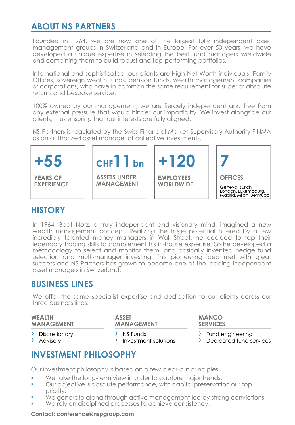## **ABOUT NS PARTNERS**

Founded in 1964, we are now one of the largest fully independent asset management groups in Switzerland and in Europe. For over 50 years, we have developed a unique expertise in selecting the best fund managers worldwide and combining them to build robust and top-performing portfolios.

International and sophisticated, our clients are High Net Worth individuals, Family Offices, sovereign wealth funds, pension funds, wealth management companies or corporations, who have in common the same requirement for superior absolute returns and bespoke service.

100% owned by our management, we are fiercely independent and free from any external pressure that would hinder our impartiality. We invest alongside our clients, thus ensuring that our interests are fully aligned.

NS Partners is regulated by the Swiss Financial Market Supervisory Authority FINMA as an authorized asset manager of collective investments.



## **HISTORY**

In 1964, Beat Notz, a truly independent and visionary mind, imagined a new wealth management concept. Realizing the huge potential offered by a few incredibly talented money managers in Wall Street, he decided to tap their legendary trading skills to complement his in-house expertise. So he developed a methodology to select and monitor them, and basically invented hedge fund selection and multi-manager investing. This pioneering idea met with great success and NS Partners has grown to become one of the leading independent asset managers in Switzerland.

### **BUSINESS LINES**

We offer the same specialist expertise and dedication to our clients across our three business lines:

| <b>WEALTH</b>     |  |
|-------------------|--|
| <b>MANAGEMENT</b> |  |

**MANAGEMENT**

› Discretionary

> Advisory

› NS Funds

**ASSET**

› Investment solutions

**MANCO SERVICES**

> Fund engineering

**I** Dedicated fund services

## **INVESTMENT PHILOSOPHY**

Our investment philosophy is based on a few clear-cut principles:

- We take the long-term view in order to capture major trends.
- Our objective is absolute performance, with capital preservation our top priority.
- We generate alpha through active management led by strong convictions.
- We rely on disciplined processes to achieve consistency.

#### **Contact: [conference@nspgroup.com](mailto:conference@nspgroup.com?subject=NS%20Investment%20Conference)**